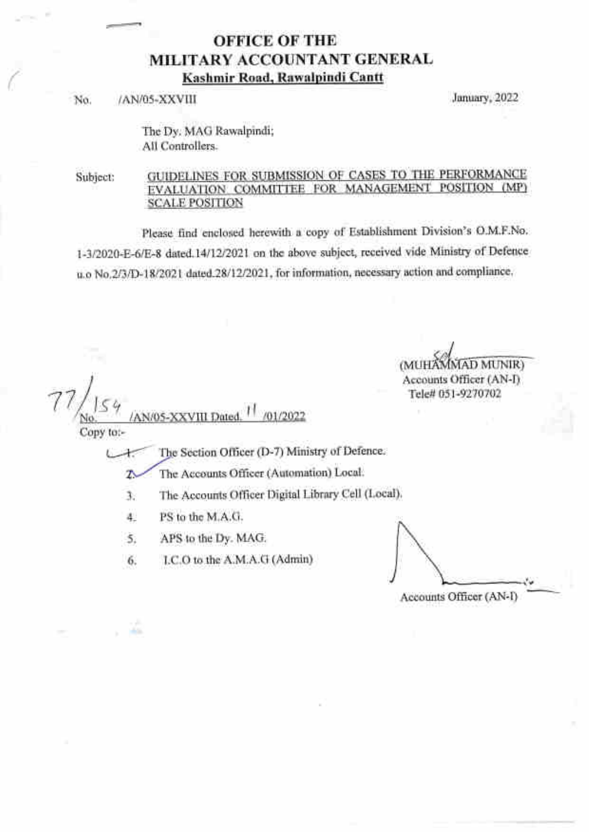## OFFICE OF THE MILITARY ACCOUNTANT GENERAL Kashmir Road, Rawalpindi Cantt

No. /AN/05-XXVIII January, 2022

The Dy. MAG Rawalpindi; All Controllers.

Subject: GUIDELINES FOR SUBMISSION OF CASES TO THE PERFORMANCE EVALUATION COMMITTEE FOR MANAGEMENT POSITION (MP) SCALE POSITION

Please find enclosed herewith a copy of Establishment Division's O.M.F.No. l-312020-E-6lE-S dated.l4l12l2\2l on the above subject, received vide Ministry of Defence u.o No.2/3/D-18/2021 dated.28/12/2021, for information, necessary action and compliance.

MUNIR) **(MUH** Accounts Officer (AN-I) Tele# 051-9270702

Copy to:-

 $1/\sqrt{54}$ 

The Section Officer (D-7) Ministry of Defence. LX.

r{

/01/2022

The Accounts Officer (Automation) Local. z.

3. The Accounts Officer Digital Library Cell (Local).

4. PS to the M.A.G.

AN/05-XXVIII Date

.,\*s

5. APS to the Dy. MAG.

6. LC.O to the A.M.A.G (Admin)

Accounts Officer (AN-I)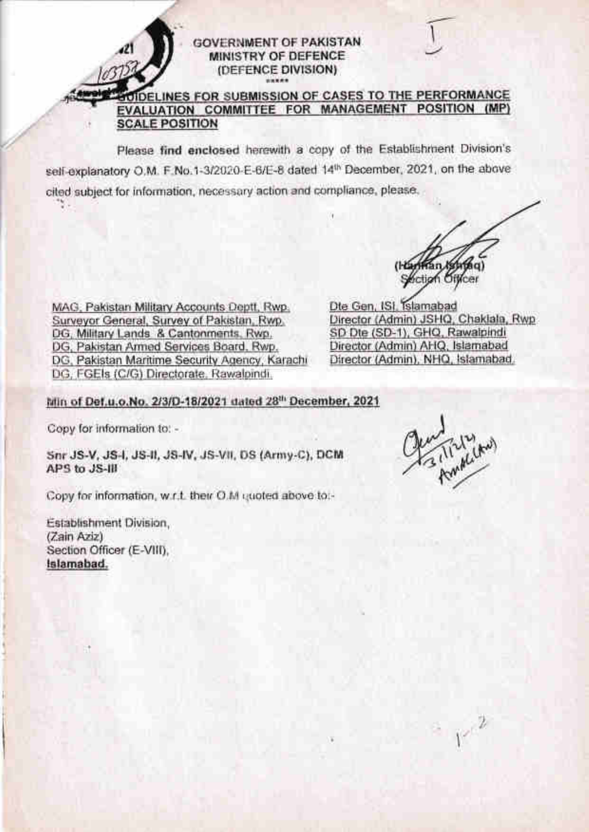(DEFENCE DIVISION)

GOVERNMENT OF PAKISTAN. MINISTRY OF DEFENCE

### DELINES FOR SUBMISSION OF CASES TO THE PERFORMANCE EVALUATION COMMITTEE FOR MANAGEMENT POSITION (MP) **SCALE POSITION**

Please find enclosed herewith a copy of the Establishment Division's self-explanatory O.M. F.No.1-3/2020-E-6/E-8 dated 14th December, 2021, on the above cited subject for information, necessary action and compliance, please,

Section

MAG, Pakistan Military Accounts Deptt, Rwp. Surveyor General, Survey of Pakistan, Rwp. DG, Military Lands & Cantonments, Rwp. DG, Pakistan Armed Services Board, Rwp. DG, Pakistan Maritime Security Agency, Karachi DG. FGEIs (C/G) Directorate, Rawalpindi.

Dte Gen, ISI, Islamabad Director (Admin) JSHQ, Chaklala, Rwp SD Dte (SD-1), GHQ, Rawalpindi Director (Admin) AHQ, Islamabad Director (Admin), NHQ, Islamabad.

### Min of Def.u.o.No. 2/3/D-18/2021 dated 28th December, 2021

Copy for information to: -

Snr JS-V, JS-I, JS-II, JS-IV, JS-VII, DS (Army-C), DCM APS to JS-III

Copy for information, w.r.t. their O.M quoted above to:-

Establishment Division, (Zain Aziz) Section Officer (E-VIII), Islamabad.